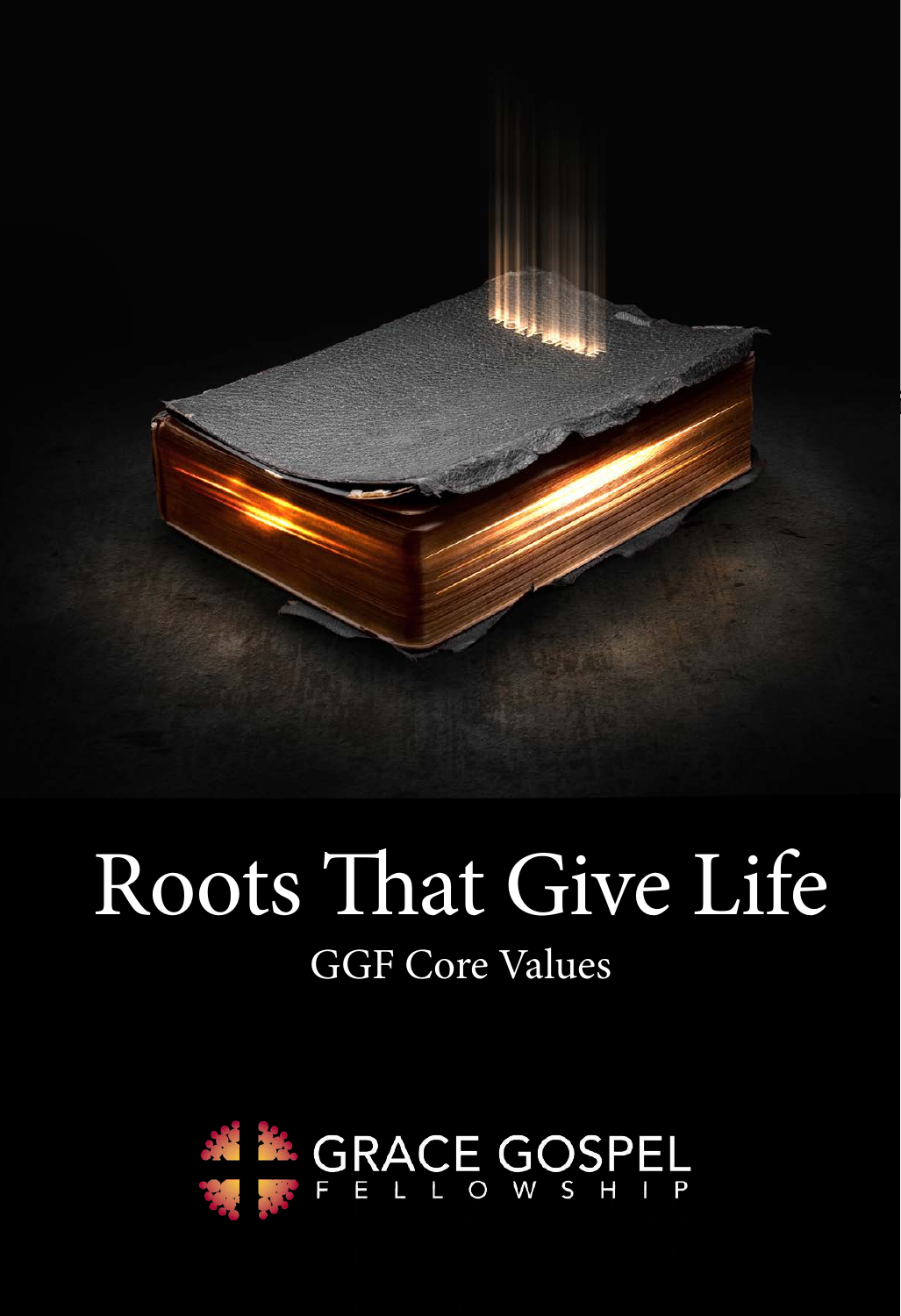

## Roots That Give Life GGF Core Values

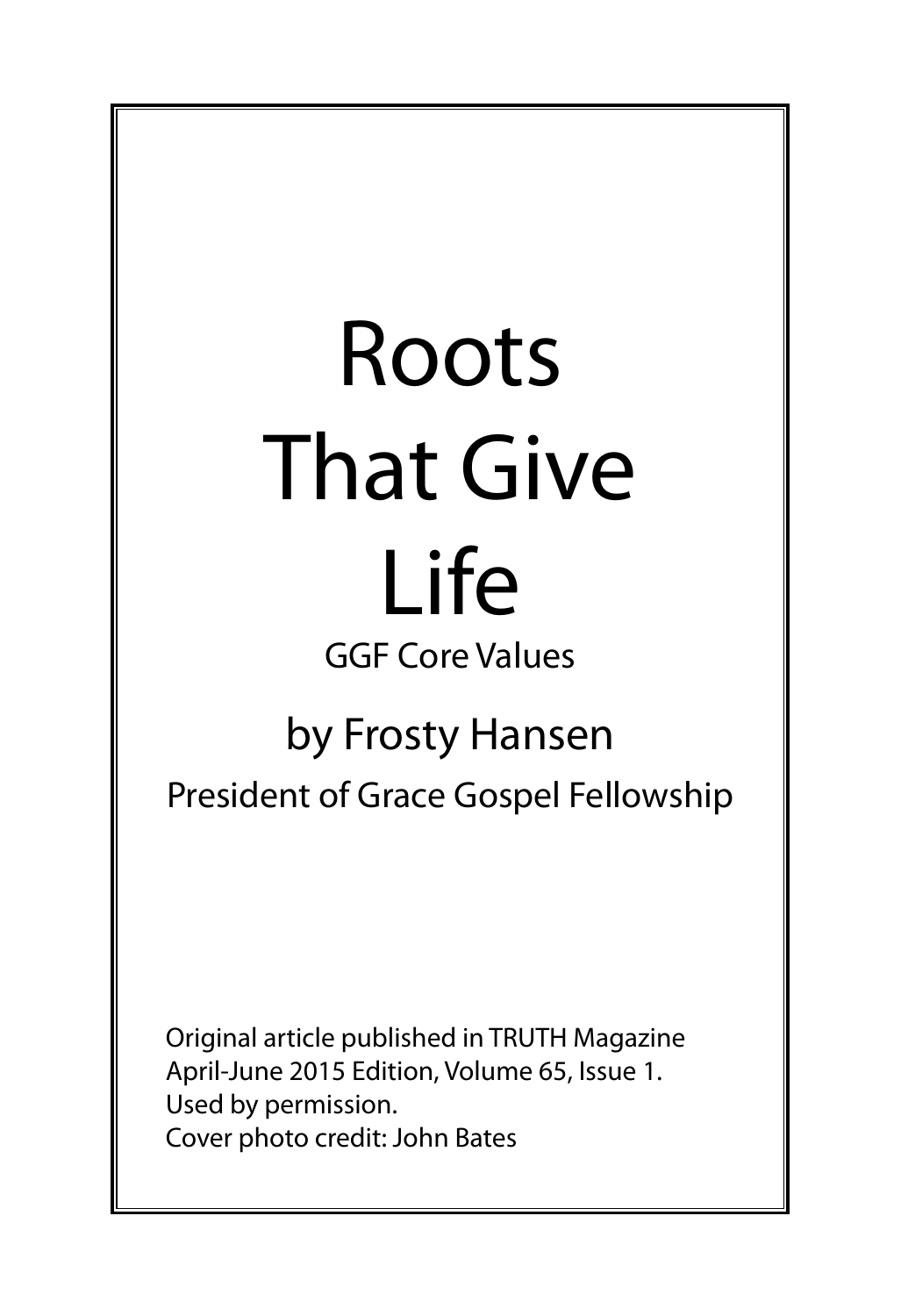# Roots That Give Life

### GGF Core Values

#### by Frosty Hansen

President of Grace Gospel Fellowship

Original article published in TRUTH Magazine April-June 2015 Edition, Volume 65, Issue 1. Used by permission. Cover photo credit: John Bates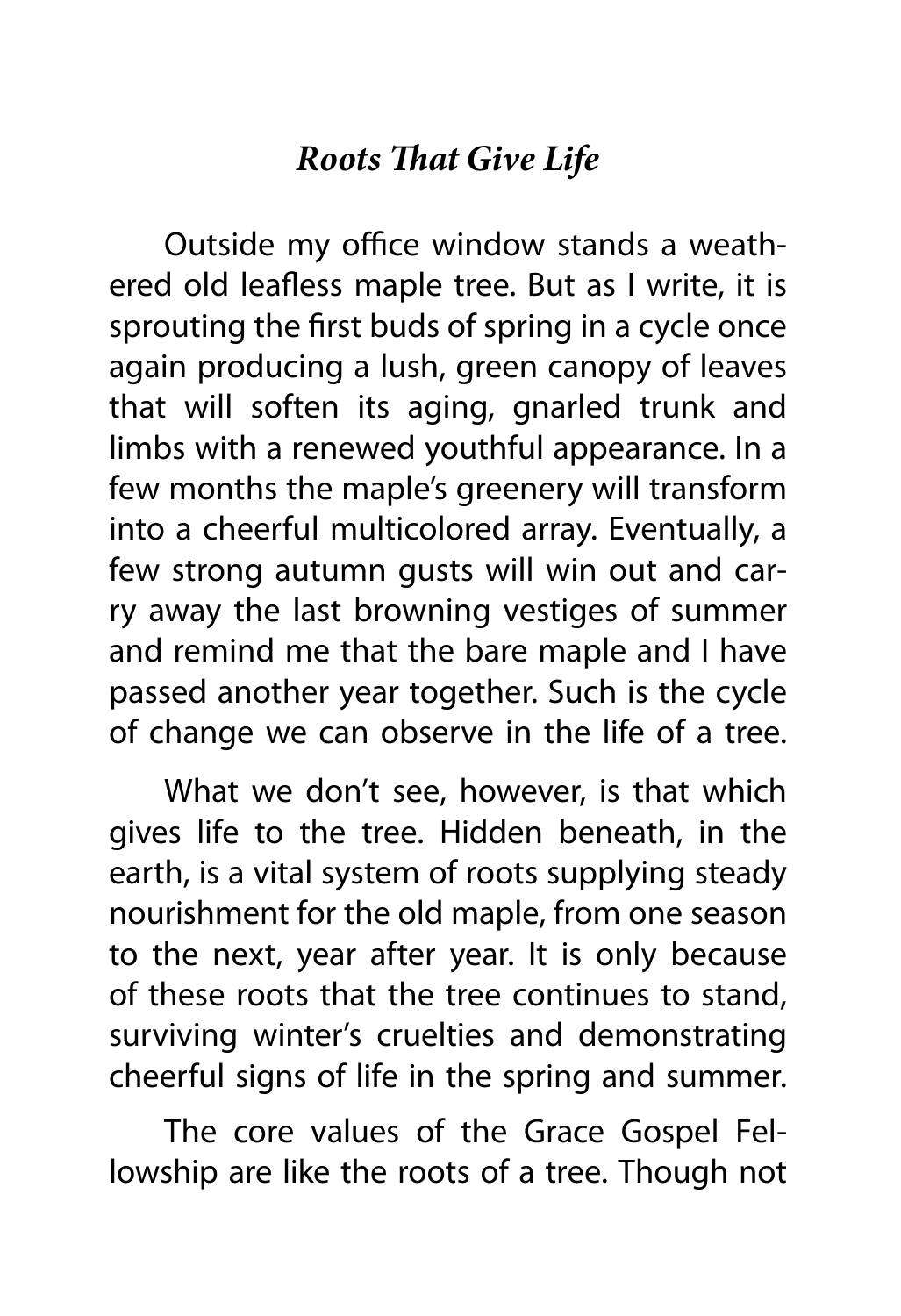#### *Roots That Give Life*

Outside my office window stands a weathered old leafless maple tree. But as I write, it is sprouting the first buds of spring in a cycle once again producing a lush, green canopy of leaves that will soften its aging, gnarled trunk and limbs with a renewed youthful appearance. In a few months the maple's greenery will transform into a cheerful multicolored array. Eventually, a few strong autumn gusts will win out and carry away the last browning vestiges of summer and remind me that the bare maple and I have passed another year together. Such is the cycle of change we can observe in the life of a tree.

What we don't see, however, is that which gives life to the tree. Hidden beneath, in the earth, is a vital system of roots supplying steady nourishment for the old maple, from one season to the next, year after year. It is only because of these roots that the tree continues to stand, surviving winter's cruelties and demonstrating cheerful signs of life in the spring and summer.

The core values of the Grace Gospel Fellowship are like the roots of a tree. Though not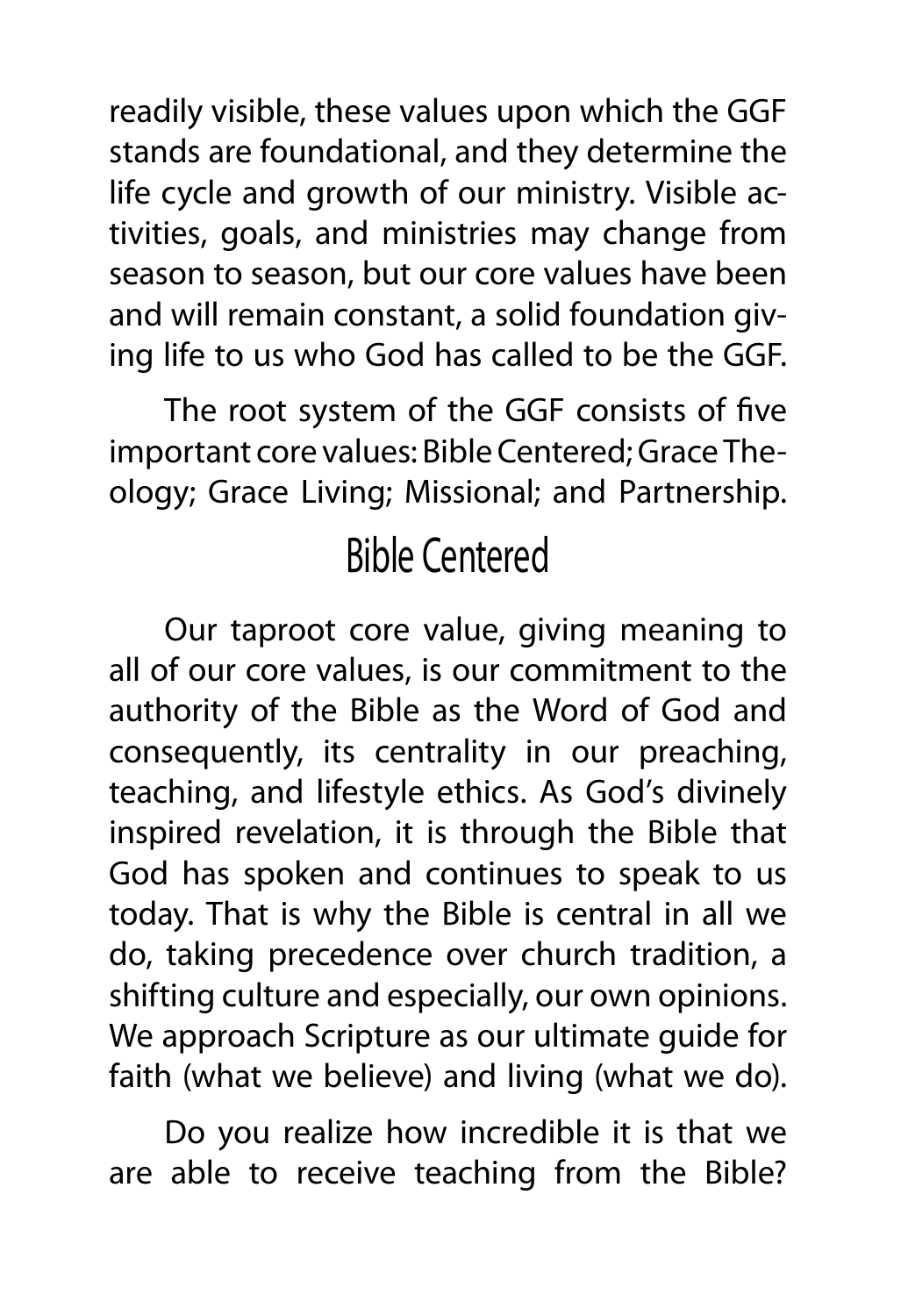readily visible, these values upon which the GGF stands are foundational, and they determine the life cycle and growth of our ministry. Visible activities, goals, and ministries may change from season to season, but our core values have been and will remain constant, a solid foundation giving life to us who God has called to be the GGF.

The root system of the GGF consists of five important core values: Bible Centered; Grace Theology; Grace Living; Missional; and Partnership.

#### Bible Centered

Our taproot core value, giving meaning to all of our core values, is our commitment to the authority of the Bible as the Word of God and consequently, its centrality in our preaching, teaching, and lifestyle ethics. As God's divinely inspired revelation, it is through the Bible that God has spoken and continues to speak to us today. That is why the Bible is central in all we do, taking precedence over church tradition, a shifting culture and especially, our own opinions. We approach Scripture as our ultimate guide for faith (what we believe) and living (what we do).

Do you realize how incredible it is that we are able to receive teaching from the Bible?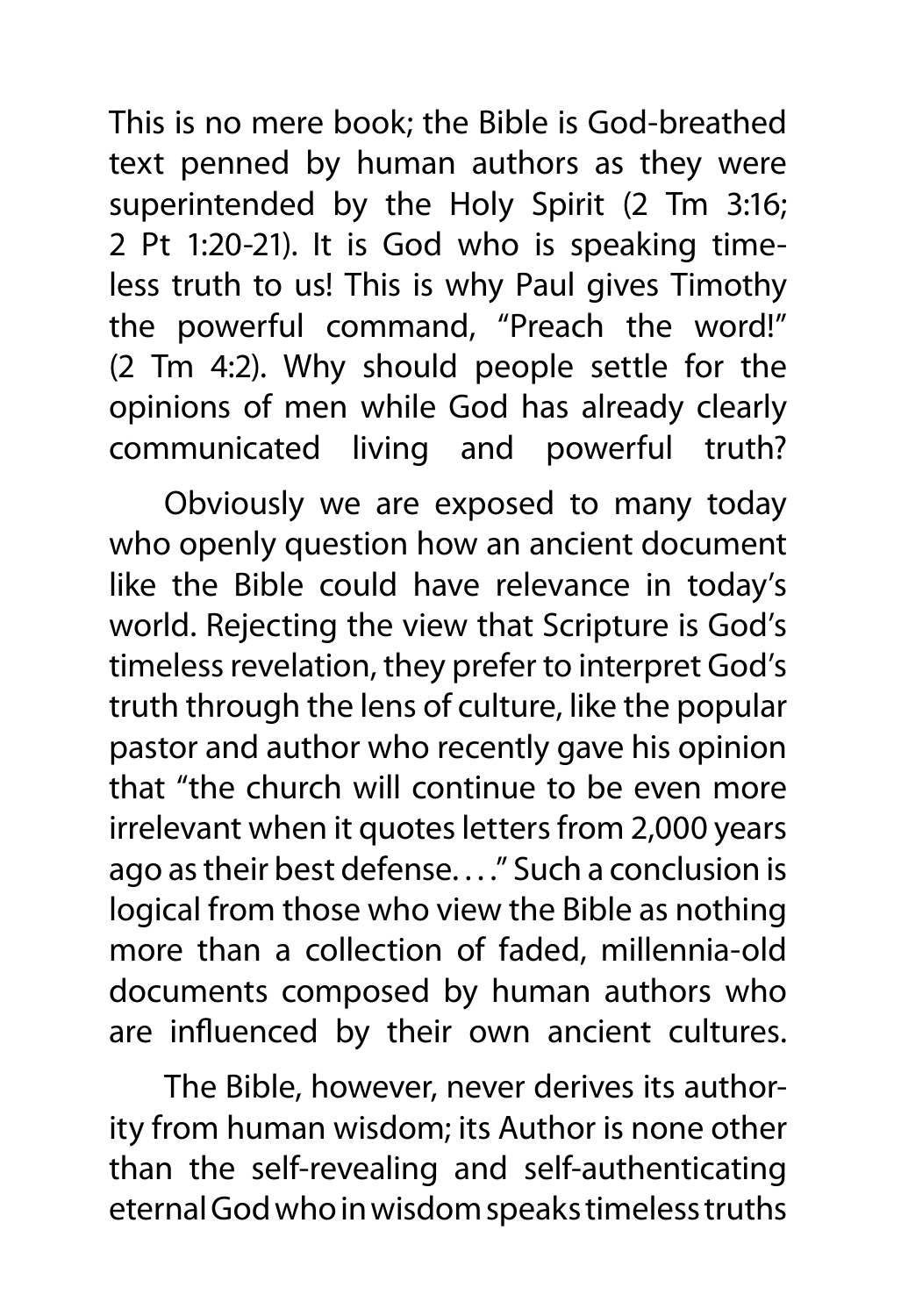This is no mere book; the Bible is God-breathed text penned by human authors as they were superintended by the Holy Spirit (2 Tm 3:16; 2 Pt 1:20-21). It is God who is speaking timeless truth to us! This is why Paul gives Timothy the powerful command, "Preach the word!" (2 Tm 4:2). Why should people settle for the opinions of men while God has already clearly communicated living and powerful truth?

Obviously we are exposed to many today who openly question how an ancient document like the Bible could have relevance in today's world. Rejecting the view that Scripture is God's timeless revelation, they prefer to interpret God's truth through the lens of culture, like the popular pastor and author who recently gave his opinion that "the church will continue to be even more irrelevant when it quotes letters from 2,000 years ago as their best defense. . . ." Such a conclusion is logical from those who view the Bible as nothing more than a collection of faded, millennia-old documents composed by human authors who are influenced by their own ancient cultures.

The Bible, however, never derives its authority from human wisdom; its Author is none other than the self-revealing and self-authenticating eternal God who in wisdom speaks timeless truths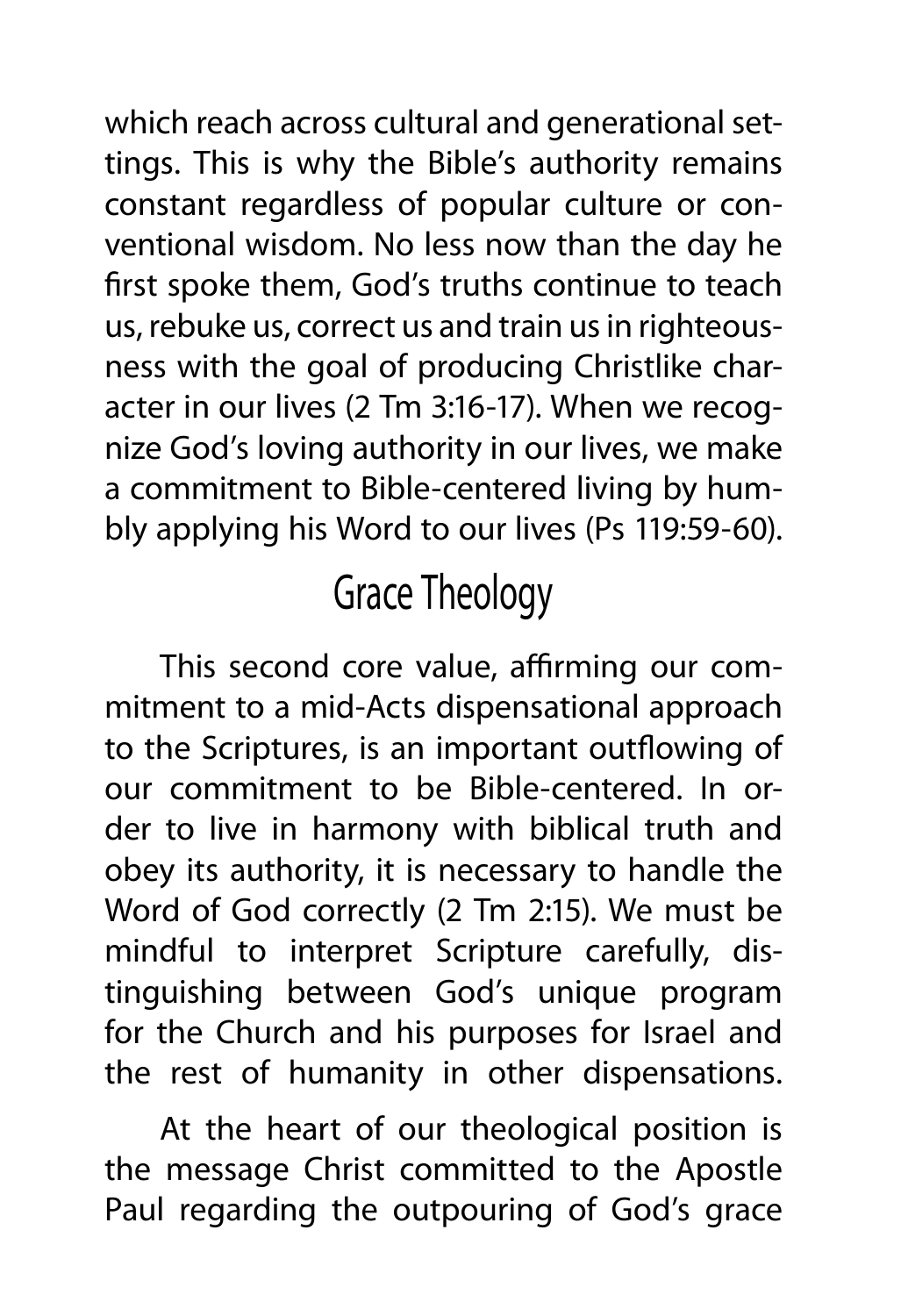which reach across cultural and generational settings. This is why the Bible's authority remains constant regardless of popular culture or conventional wisdom. No less now than the day he first spoke them, God's truths continue to teach us, rebuke us, correct us and train us in righteousness with the goal of producing Christlike character in our lives (2 Tm 3:16-17). When we recognize God's loving authority in our lives, we make a commitment to Bible-centered living by humbly applying his Word to our lives (Ps 119:59-60).

#### Grace Theology

This second core value, affirming our commitment to a mid-Acts dispensational approach to the Scriptures, is an important outflowing of our commitment to be Bible-centered. In order to live in harmony with biblical truth and obey its authority, it is necessary to handle the Word of God correctly (2 Tm 2:15). We must be mindful to interpret Scripture carefully, distinguishing between God's unique program for the Church and his purposes for Israel and the rest of humanity in other dispensations.

At the heart of our theological position is the message Christ committed to the Apostle Paul regarding the outpouring of God's grace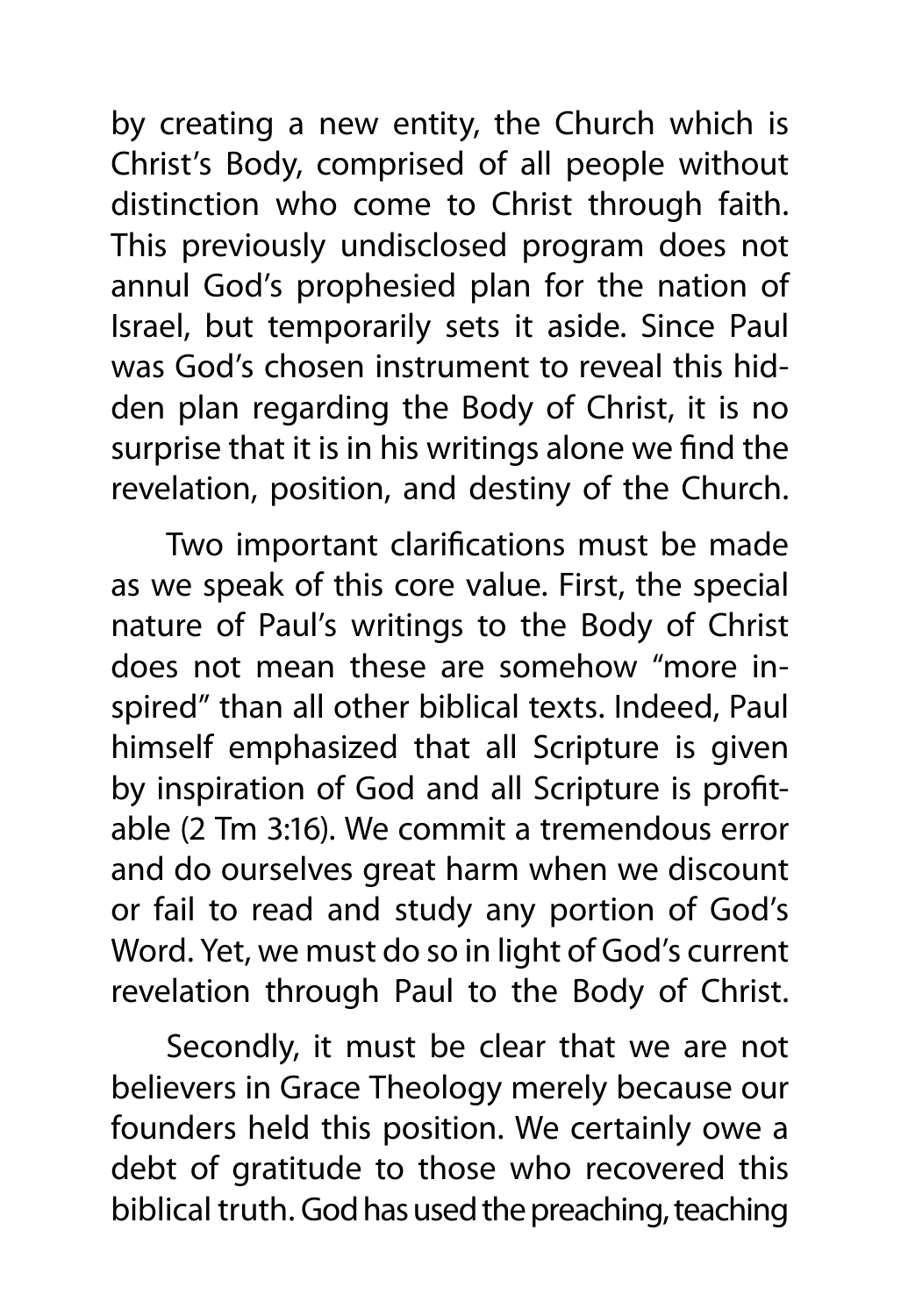by creating a new entity, the Church which is Christ's Body, comprised of all people without distinction who come to Christ through faith. This previously undisclosed program does not annul God's prophesied plan for the nation of Israel, but temporarily sets it aside. Since Paul was God's chosen instrument to reveal this hidden plan regarding the Body of Christ, it is no surprise that it is in his writings alone we find the revelation, position, and destiny of the Church.

Two important clarifications must be made as we speak of this core value. First, the special nature of Paul's writings to the Body of Christ does not mean these are somehow "more inspired" than all other biblical texts. Indeed, Paul himself emphasized that all Scripture is given by inspiration of God and all Scripture is profitable (2 Tm 3:16). We commit a tremendous error and do ourselves great harm when we discount or fail to read and study any portion of God's Word. Yet, we must do so in light of God's current revelation through Paul to the Body of Christ.

Secondly, it must be clear that we are not believers in Grace Theology merely because our founders held this position. We certainly owe a debt of gratitude to those who recovered this biblical truth. God has used the preaching, teaching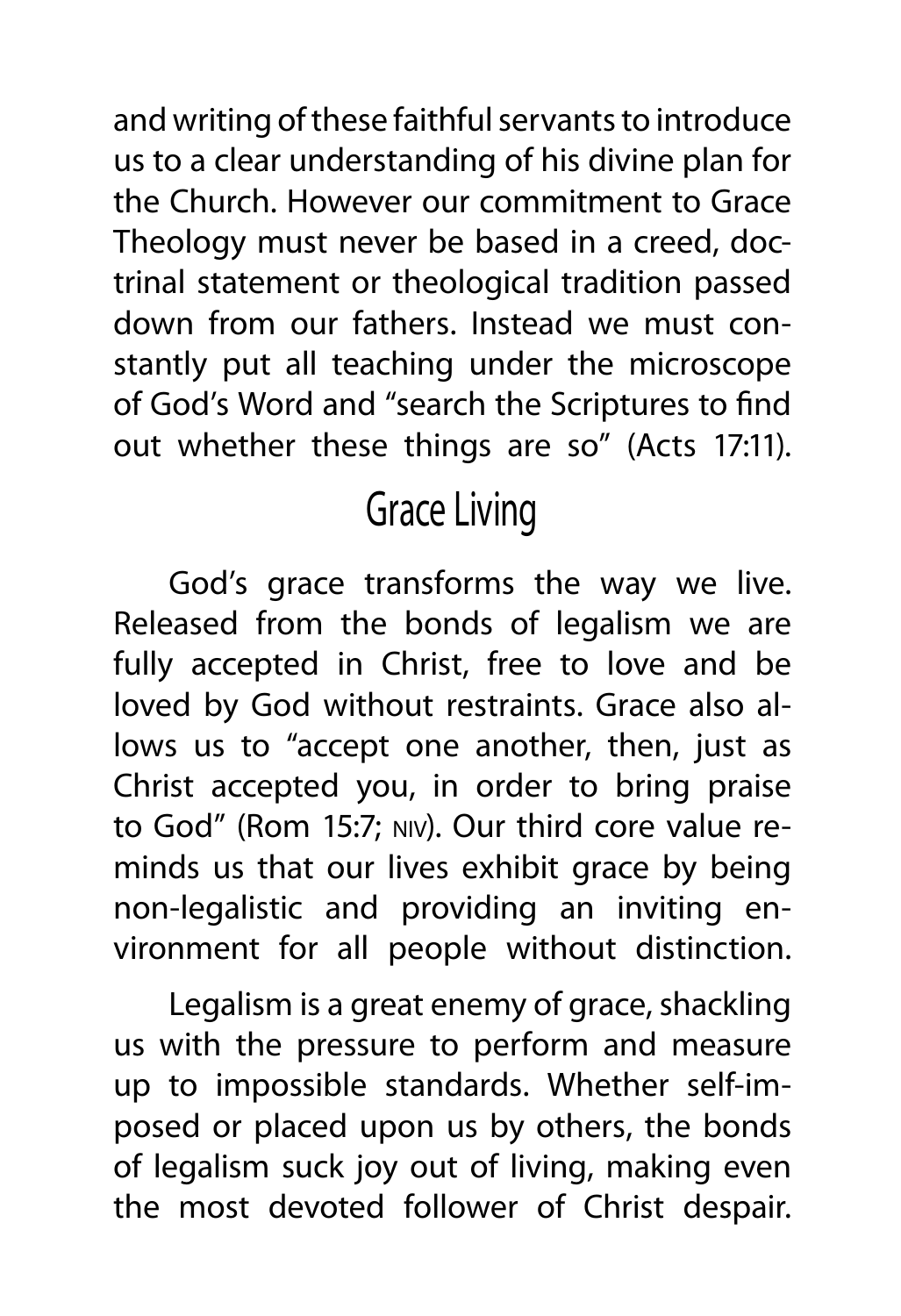and writing of these faithful servants to introduce us to a clear understanding of his divine plan for the Church. However our commitment to Grace Theology must never be based in a creed, doctrinal statement or theological tradition passed down from our fathers. Instead we must constantly put all teaching under the microscope of God's Word and "search the Scriptures to find out whether these things are so" (Acts 17:11).

#### Grace Living

God's grace transforms the way we live. Released from the bonds of legalism we are fully accepted in Christ, free to love and be loved by God without restraints. Grace also allows us to "accept one another, then, just as Christ accepted you, in order to bring praise to God" (Rom 15:7; niv). Our third core value reminds us that our lives exhibit grace by being non-legalistic and providing an inviting environment for all people without distinction.

Legalism is a great enemy of grace, shackling us with the pressure to perform and measure up to impossible standards. Whether self-imposed or placed upon us by others, the bonds of legalism suck joy out of living, making even the most devoted follower of Christ despair.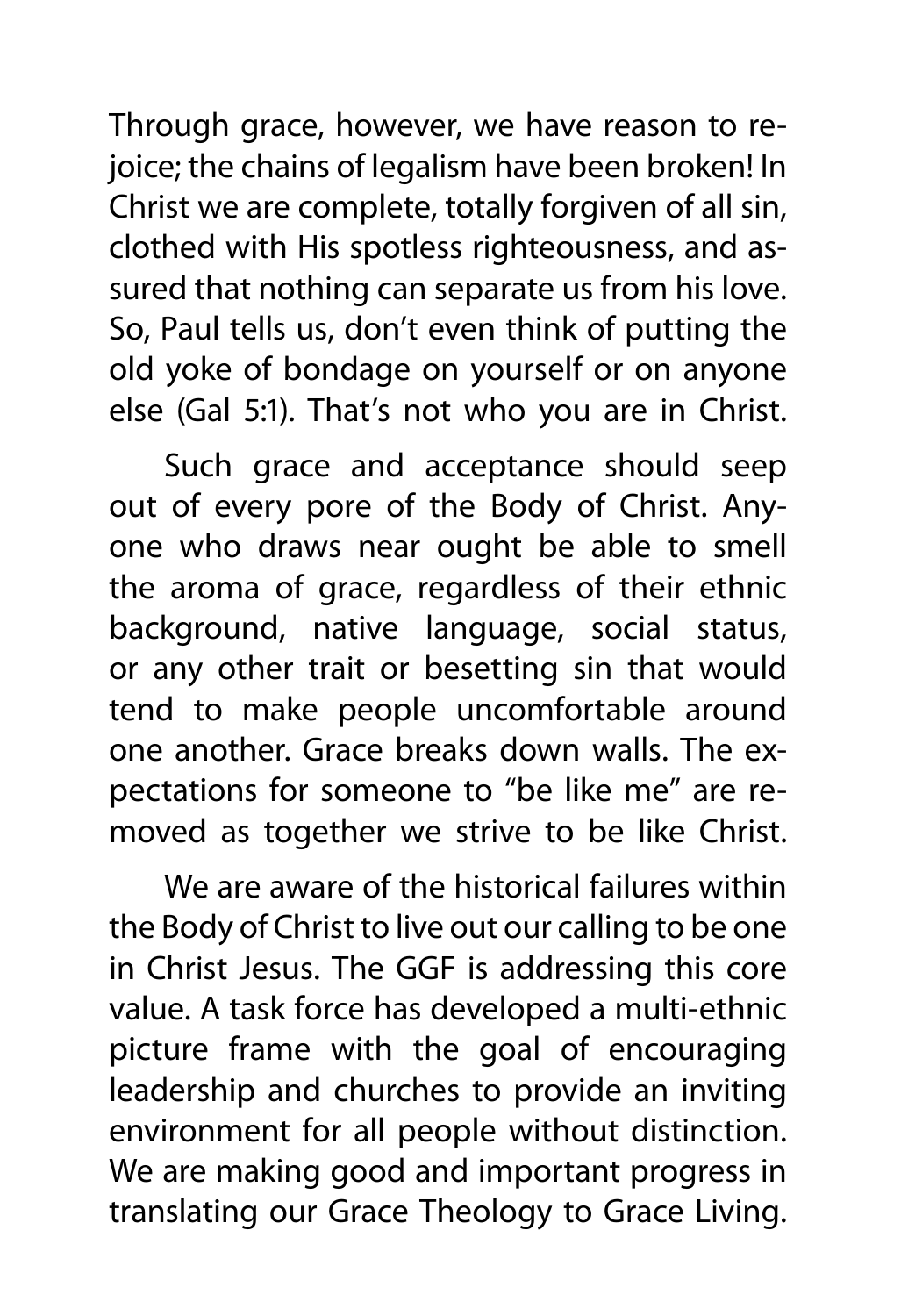Through grace, however, we have reason to rejoice; the chains of legalism have been broken! In Christ we are complete, totally forgiven of all sin, clothed with His spotless righteousness, and assured that nothing can separate us from his love. So, Paul tells us, don't even think of putting the old yoke of bondage on yourself or on anyone else (Gal 5:1). That's not who you are in Christ.

Such grace and acceptance should seep out of every pore of the Body of Christ. Anyone who draws near ought be able to smell the aroma of grace, regardless of their ethnic background, native language, social status, or any other trait or besetting sin that would tend to make people uncomfortable around one another. Grace breaks down walls. The expectations for someone to "be like me" are removed as together we strive to be like Christ.

We are aware of the historical failures within the Body of Christ to live out our calling to be one in Christ Jesus. The GGF is addressing this core value. A task force has developed a multi-ethnic picture frame with the goal of encouraging leadership and churches to provide an inviting environment for all people without distinction. We are making good and important progress in translating our Grace Theology to Grace Living.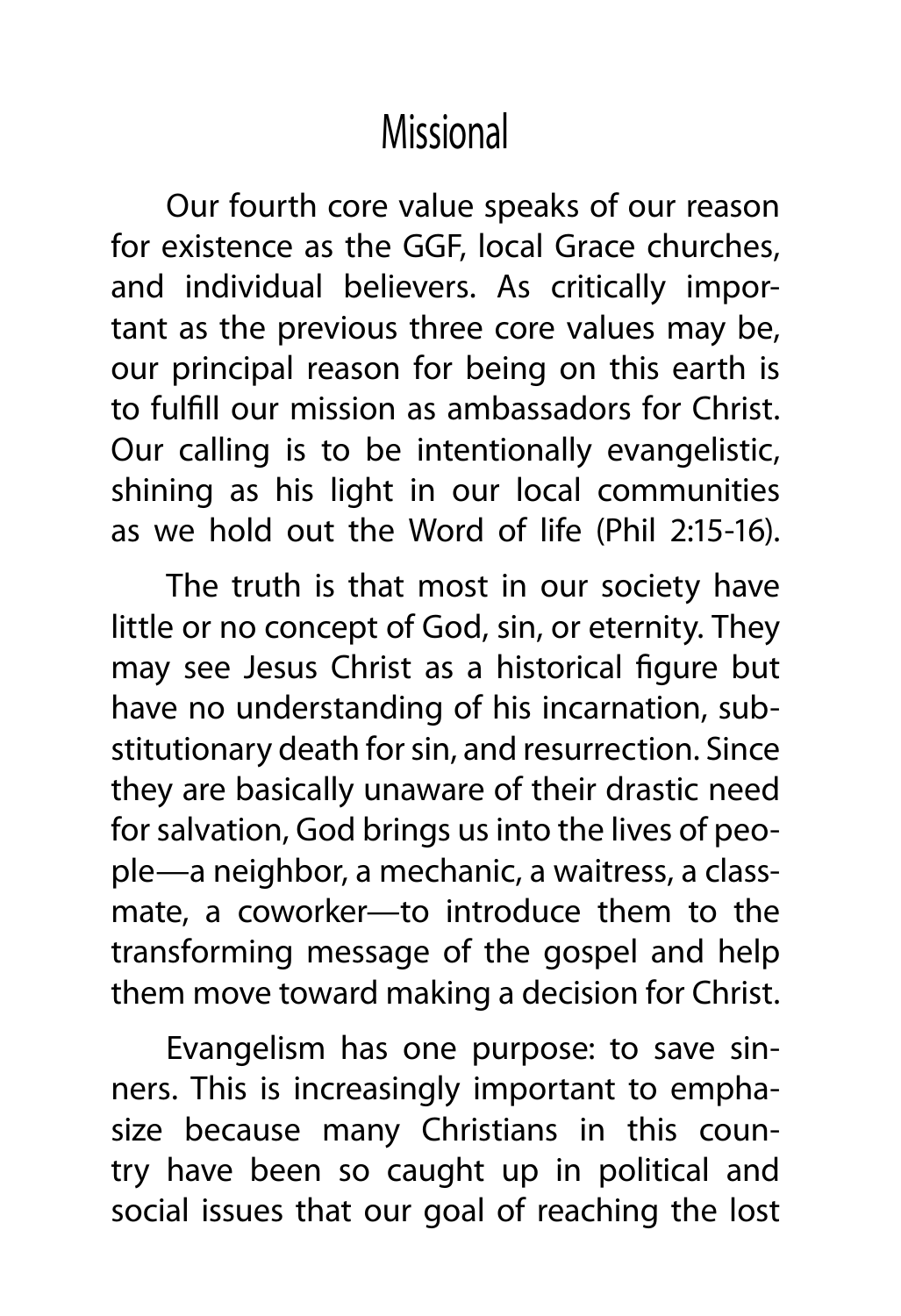#### **Missional**

Our fourth core value speaks of our reason for existence as the GGF, local Grace churches, and individual believers. As critically important as the previous three core values may be, our principal reason for being on this earth is to fulfill our mission as ambassadors for Christ. Our calling is to be intentionally evangelistic, shining as his light in our local communities as we hold out the Word of life (Phil 2:15-16).

The truth is that most in our society have little or no concept of God, sin, or eternity. They may see Jesus Christ as a historical figure but have no understanding of his incarnation, substitutionary death for sin, and resurrection. Since they are basically unaware of their drastic need for salvation, God brings us into the lives of people—a neighbor, a mechanic, a waitress, a classmate, a coworker—to introduce them to the transforming message of the gospel and help them move toward making a decision for Christ.

Evangelism has one purpose: to save sinners. This is increasingly important to emphasize because many Christians in this country have been so caught up in political and social issues that our goal of reaching the lost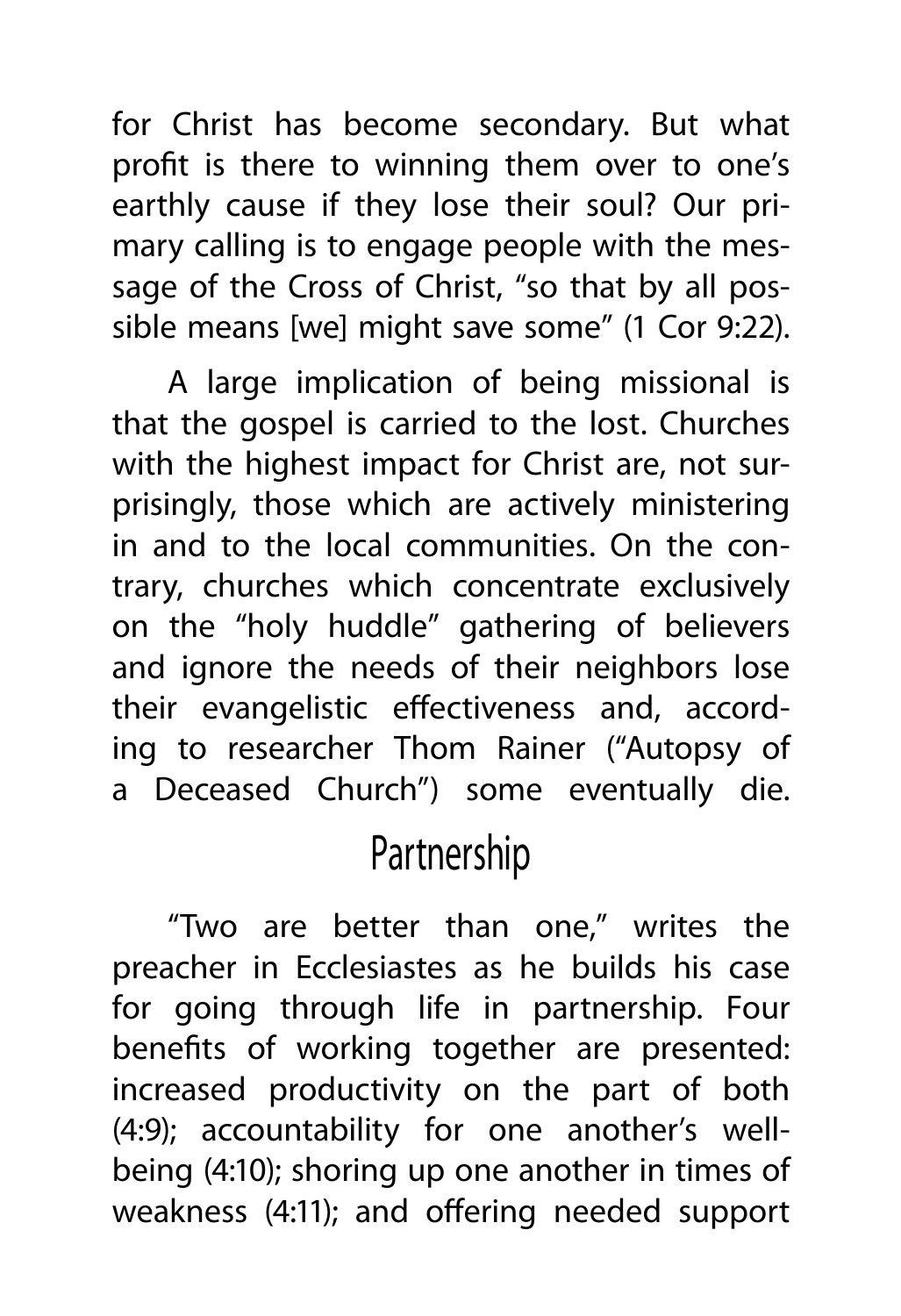for Christ has become secondary. But what profit is there to winning them over to one's earthly cause if they lose their soul? Our primary calling is to engage people with the message of the Cross of Christ, "so that by all possible means [we] might save some" (1 Cor 9:22).

A large implication of being missional is that the gospel is carried to the lost. Churches with the highest impact for Christ are, not surprisingly, those which are actively ministering in and to the local communities. On the contrary, churches which concentrate exclusively on the "holy huddle" gathering of believers and ignore the needs of their neighbors lose their evangelistic effectiveness and, according to researcher Thom Rainer ("Autopsy of a Deceased Church") some eventually die.

#### Partnership

"Two are better than one," writes the preacher in Ecclesiastes as he builds his case for going through life in partnership. Four benefits of working together are presented: increased productivity on the part of both (4:9); accountability for one another's wellbeing (4:10); shoring up one another in times of weakness (4:11); and offering needed support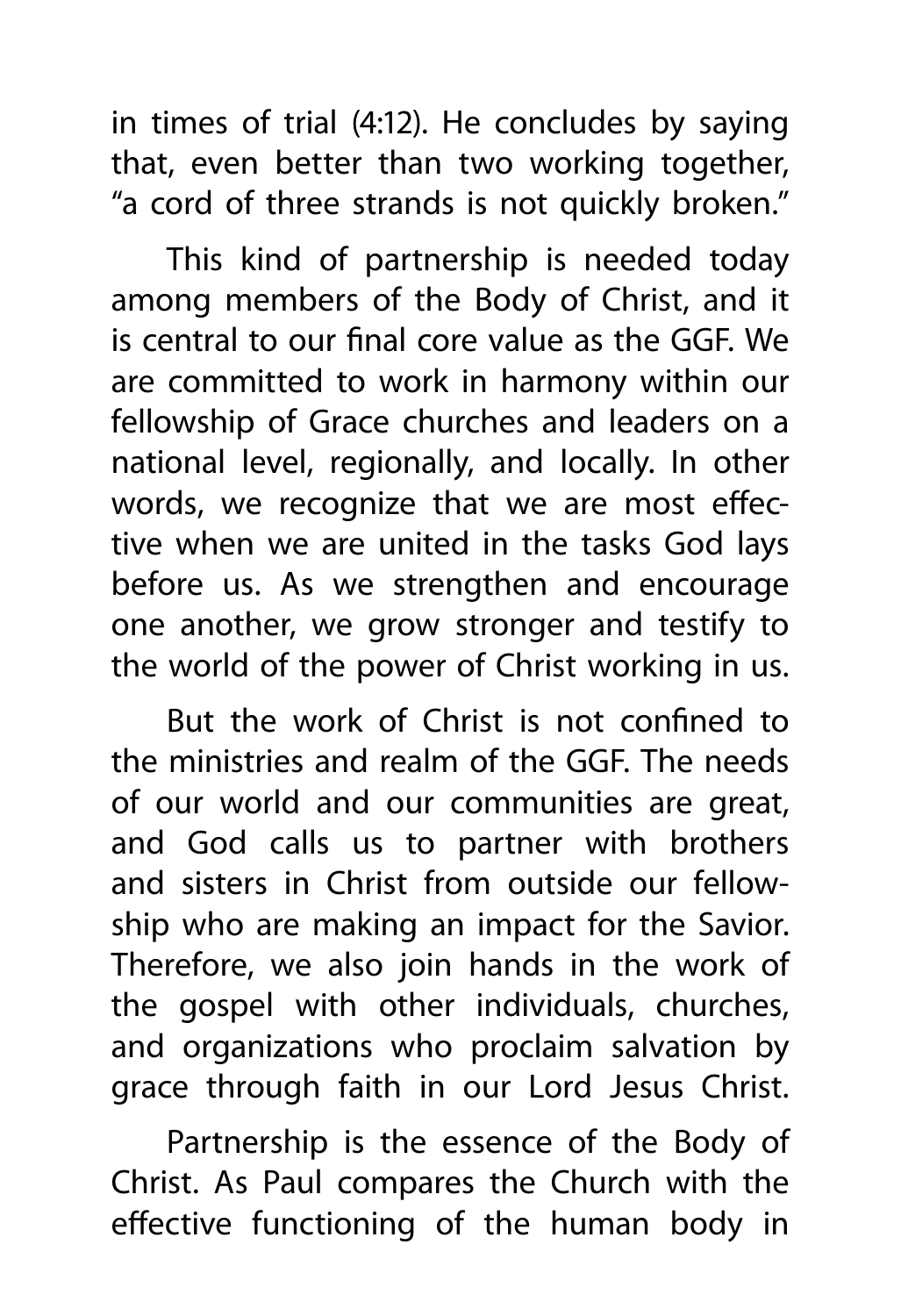in times of trial (4:12). He concludes by saying that, even better than two working together, "a cord of three strands is not quickly broken."

This kind of partnership is needed today among members of the Body of Christ, and it is central to our final core value as the GGF. We are committed to work in harmony within our fellowship of Grace churches and leaders on a national level, regionally, and locally. In other words, we recognize that we are most effective when we are united in the tasks God lays before us. As we strengthen and encourage one another, we grow stronger and testify to the world of the power of Christ working in us.

But the work of Christ is not confined to the ministries and realm of the GGF. The needs of our world and our communities are great, and God calls us to partner with brothers and sisters in Christ from outside our fellowship who are making an impact for the Savior. Therefore, we also join hands in the work of the gospel with other individuals, churches, and organizations who proclaim salvation by grace through faith in our Lord Jesus Christ.

Partnership is the essence of the Body of Christ. As Paul compares the Church with the effective functioning of the human body in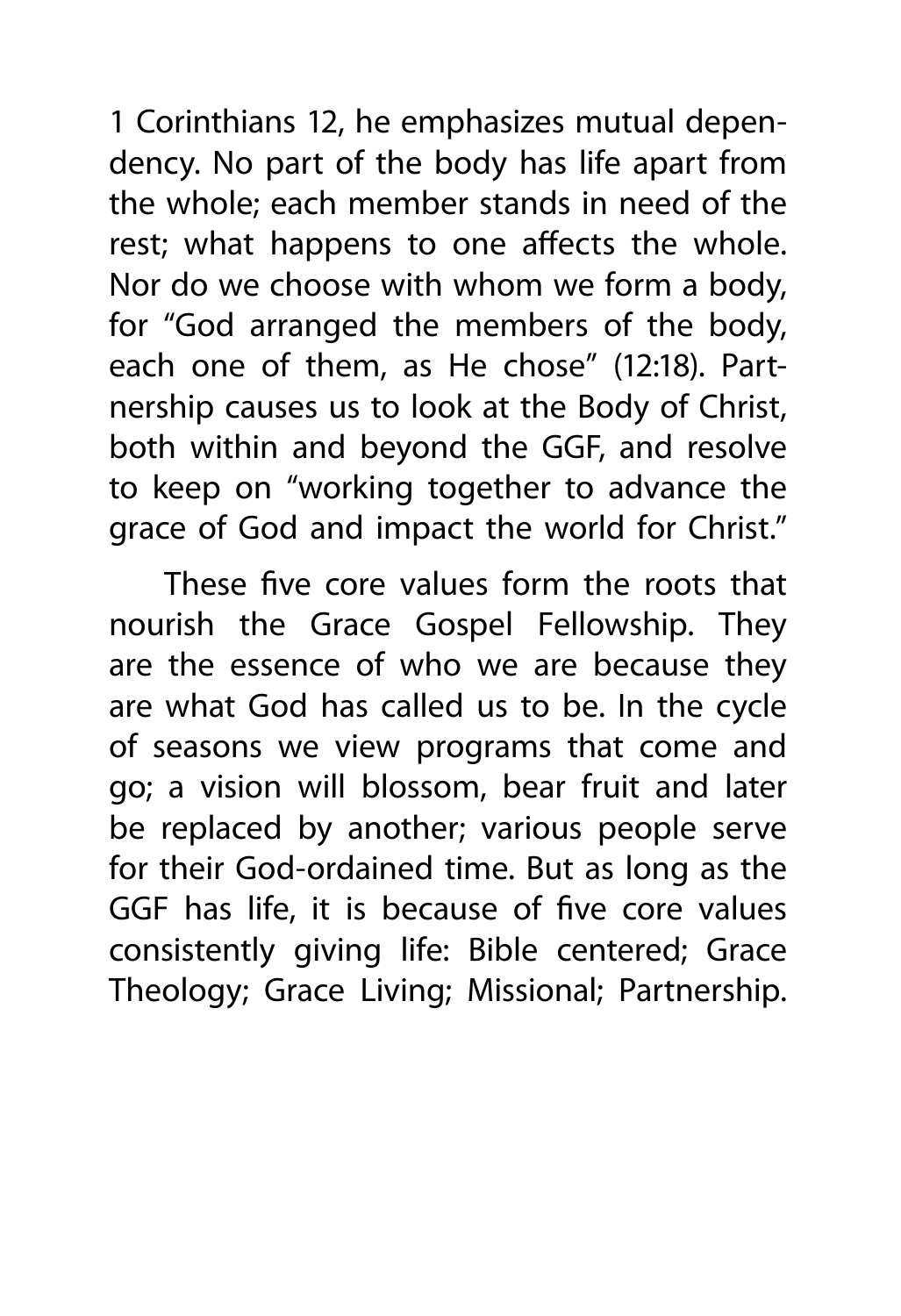1 Corinthians 12, he emphasizes mutual dependency. No part of the body has life apart from the whole; each member stands in need of the rest; what happens to one affects the whole. Nor do we choose with whom we form a body, for "God arranged the members of the body, each one of them, as He chose" (12:18). Partnership causes us to look at the Body of Christ, both within and beyond the GGF, and resolve to keep on "working together to advance the grace of God and impact the world for Christ."

These five core values form the roots that nourish the Grace Gospel Fellowship. They are the essence of who we are because they are what God has called us to be. In the cycle of seasons we view programs that come and go; a vision will blossom, bear fruit and later be replaced by another; various people serve for their God-ordained time. But as long as the GGF has life, it is because of five core values consistently giving life: Bible centered; Grace Theology; Grace Living; Missional; Partnership.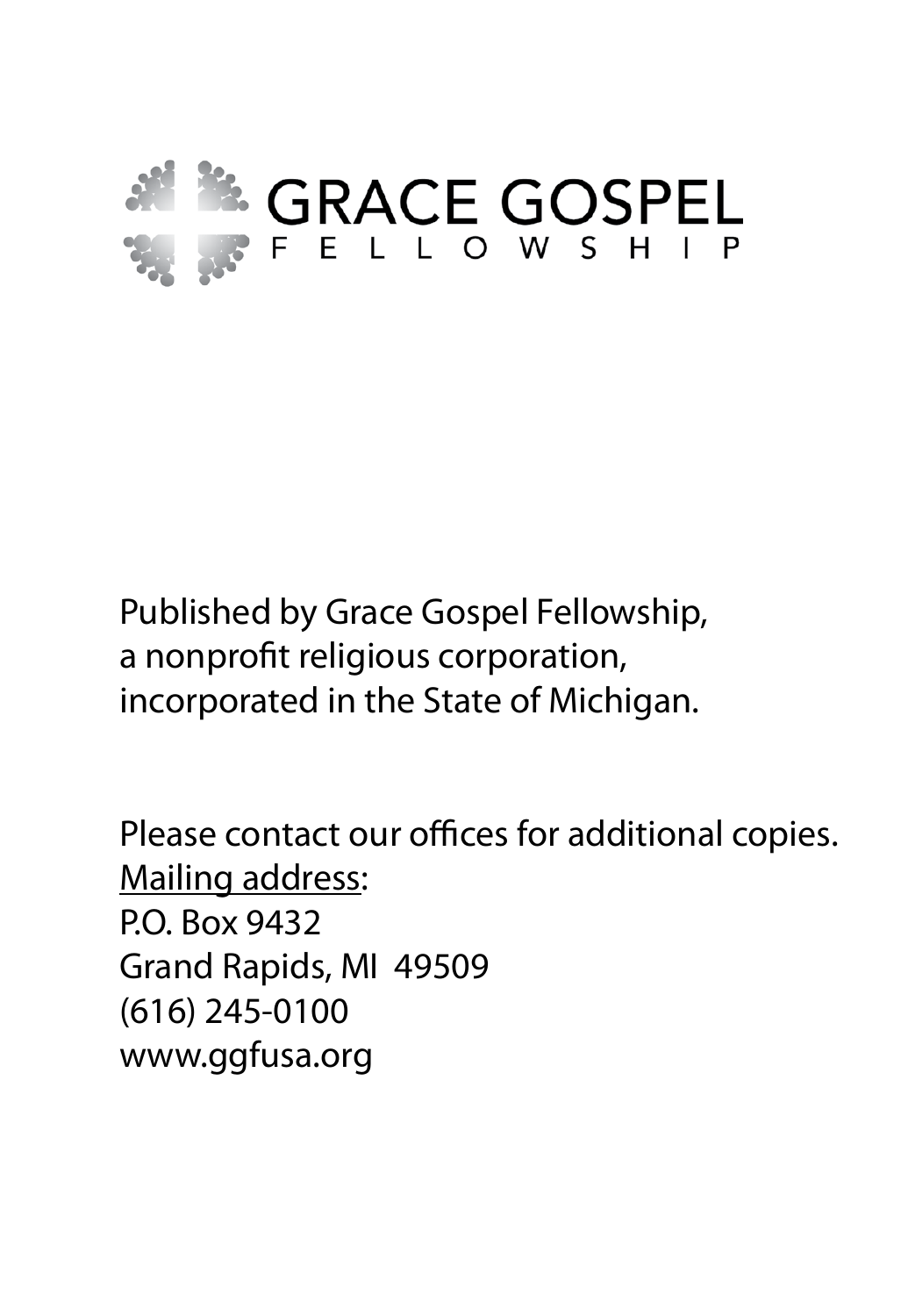

Published by Grace Gospel Fellowship, a nonprofit religious corporation, incorporated in the State of Michigan.

Please contact our offices for additional copies. Mailing address: P.O. Box 9432 Grand Rapids, MI 49509 (616) 245-0100 www.ggfusa.org